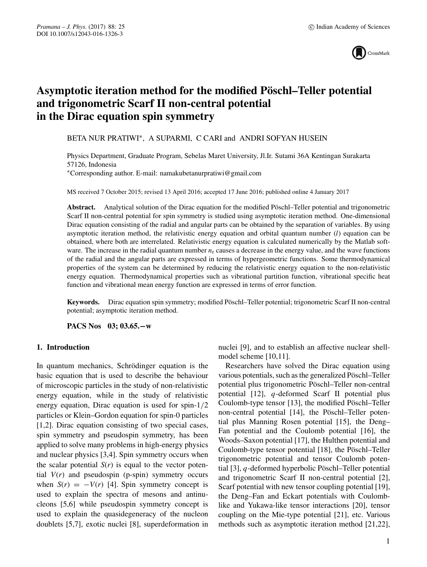

# **Asymptotic iteration method for the modified Pöschl–Teller potential and trigonometric Scarf II non-central potential in the Dirac equation spin symmetry**

BETA NUR PRATIWI∗, A SUPARMI, C CARI and ANDRI SOFYAN HUSEIN

Physics Department, Graduate Program, Sebelas Maret University, Jl.Ir. Sutami 36A Kentingan Surakarta 57126, Indonesia ∗Corresponding author. E-mail: namakubetanurpratiwi@gmail.com

MS received 7 October 2015; revised 13 April 2016; accepted 17 June 2016; published online 4 January 2017

**Abstract.** Analytical solution of the Dirac equation for the modified Pöschl–Teller potential and trigonometric Scarf II non-central potential for spin symmetry is studied using asymptotic iteration method. One-dimensional Dirac equation consisting of the radial and angular parts can be obtained by the separation of variables. By using asymptotic iteration method, the relativistic energy equation and orbital quantum number (*l*) equation can be obtained, where both are interrelated. Relativistic energy equation is calculated numerically by the Matlab software. The increase in the radial quantum number  $n_r$  causes a decrease in the energy value, and the wave functions of the radial and the angular parts are expressed in terms of hypergeometric functions. Some thermodynamical properties of the system can be determined by reducing the relativistic energy equation to the non-relativistic energy equation. Thermodynamical properties such as vibrational partition function, vibrational specific heat function and vibrational mean energy function are expressed in terms of error function.

**Keywords.** Dirac equation spin symmetry; modified Pöschl–Teller potential; trigonometric Scarf II non-central potential; asymptotic iteration method.

**PACS Nos 03; 03.65.−w**

## **1. Introduction**

In quantum mechanics, Schrödinger equation is the basic equation that is used to describe the behaviour of microscopic particles in the study of non-relativistic energy equation, while in the study of relativistic energy equation, Dirac equation is used for spin-1*/*<sup>2</sup> particles or Klein–Gordon equation for spin-0 particles [1,2]. Dirac equation consisting of two special cases, spin symmetry and pseudospin symmetry, has been applied to solve many problems in high-energy physics and nuclear physics [3,4]. Spin symmetry occurs when the scalar potential  $S(r)$  is equal to the vector potential  $V(r)$  and pseudospin (p-spin) symmetry occurs when  $S(r) = -V(r)$  [4]. Spin symmetry concept is used to explain the spectra of mesons and antinucleons [5,6] while pseudospin symmetry concept is used to explain the quasidegeneracy of the nucleon doublets [5,7], exotic nuclei [8], superdeformation in nuclei [9], and to establish an affective nuclear shellmodel scheme [10,11].

Researchers have solved the Dirac equation using various potentials, such as the generalized Pöschl–Teller potential plus trigonometric Pöschl–Teller non-central potential [12], *q*-deformed Scarf II potential plus Coulomb-type tensor [13], the modified Pöschl–Teller non-central potential [14], the Pöschl–Teller potential plus Manning Rosen potential [15], the Deng– Fan potential and the Coulomb potential [16], the Woods–Saxon potential [17], the Hulthen potential and Coulomb-type tensor potential [18], the Pöschl–Teller trigonometric potential and tensor Coulomb potential [3], *q*-deformed hyperbolic Pöschl–Teller potential and trigonometric Scarf II non-central potential [2], Scarf potential with new tensor coupling potential [19], the Deng–Fan and Eckart potentials with Coulomblike and Yukawa-like tensor interactions [20], tensor coupling on the Mie-type potential [21], etc. Various methods such as asymptotic iteration method [21,22],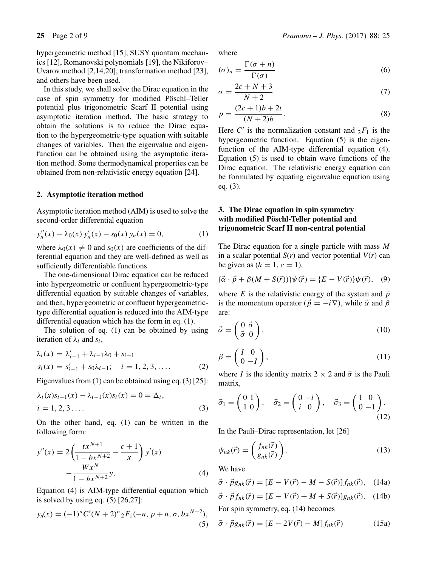In this study, we shall solve the Dirac equation in the case of spin symmetry for modified Pöschl–Teller potential plus trigonometric Scarf II potential using asymptotic iteration method. The basic strategy to obtain the solutions is to reduce the Dirac equation to the hypergeometric-type equation with suitable changes of variables. Then the eigenvalue and eigenfunction can be obtained using the asymptotic iteration method. Some thermodynamical properties can be obtained from non-relativistic energy equation [24].

## **2. Asymptotic iteration method**

Asymptotic iteration method (AIM) is used to solve the second-order differential equation

$$
y_n''(x) - \lambda_0(x) y_n'(x) - s_0(x) y_n(x) = 0,
$$
 (1)

where  $\lambda_0(x) \neq 0$  and  $s_0(x)$  are coefficients of the dif-<br>ferential equation and they are well-defined as well as ferential equation and they are well-defined as well as sufficiently differentiable functions.

The one-dimensional Dirac equation can be reduced into hypergeometric or confluent hypergeometric-type differential equation by suitable changes of variables, and then, hypergeometric or confluent hypergeometrictype differential equation is reduced into the AIM-type differential equation which has the form in eq. (1).

The solution of eq. (1) can be obtained by using iteration of *λi* and *si*,

$$
\lambda_i(x) = \lambda'_{i-1} + \lambda_{i-1}\lambda_0 + s_{i-1}
$$
  
\n
$$
s_i(x) = s'_{i-1} + s_0\lambda_{i-1}; \quad i = 1, 2, 3, ....
$$
 (2)

Eigenvalues from (1) can be obtained using eq. (3) [25]:

$$
\lambda_i(x)s_{i-1}(x) - \lambda_{i-1}(x)s_i(x) = 0 = \Delta_i, \n i = 1, 2, 3 ...
$$
\n(3)

On the other hand, eq. (1) can be written in the following form:

$$
y''(x) = 2\left(\frac{tx^{N+1}}{1 - bx^{N+2}} - \frac{c+1}{x}\right) y'(x)
$$

$$
-\frac{Wx^N}{1 - bx^{N+2}} y.
$$
(4)

Equation (4) is AIM-type differential equation which is solved by using eq.  $(5)$   $[26,27]$ :

$$
y_n(x) = (-1)^n C'(N+2)^n {}_2F_1(-n, p+n, \sigma, bx^{N+2}),
$$
\n(5)

where

$$
(\sigma)_n = \frac{\Gamma(\sigma + n)}{\Gamma(\sigma)}\tag{6}
$$

$$
\sigma = \frac{2c + N + 3}{N + 2} \tag{7}
$$

$$
p = \frac{(2c+1)b+2t}{(N+2)b}.
$$
\nUse  $C'$  is the asymptotic constant and  $F$  is the

Here *C'* is the normalization constant and  ${}_2F_1$  is the hypergeometric function. Equation (5) is the eigenhypergeometric function. Equation (5) is the eigenfunction of the AIM-type differential equation (4). Equation (5) is used to obtain wave functions of the Dirac equation. The relativistic energy equation can be formulated by equating eigenvalue equation using eq. (3).

# **3. The Dirac equation in spin symmetry with modified Pöschl-Teller potential and trigonometric Scarf II non-central potential**

The Dirac equation for a single particle with mass *M* in a scalar potential  $S(r)$  and vector potential  $V(r)$  can be given as  $(h = 1, c = 1)$ ,

$$
\{\vec{\alpha} \cdot \vec{p} + \beta(M + S(\vec{r}))\}\psi(\vec{r}) = \{E - V(\vec{r})\}\psi(\vec{r}), \quad (9)
$$

where *E* is the relativistic energy of the system and  $\vec{p}$ is the momentum operator ( $\vec{p} = -i\nabla$ ), while  $\vec{\alpha}$  and  $\beta$ are:

$$
\vec{\alpha} = \begin{pmatrix} 0 & \vec{\sigma} \\ \vec{\sigma} & 0 \end{pmatrix},\tag{10}
$$

$$
\beta = \begin{pmatrix} I & 0 \\ 0 & -I \end{pmatrix},\tag{11}
$$

where *I* is the identity matrix  $2 \times 2$  and  $\vec{\sigma}$  is the Pauli matrix,

$$
\vec{\sigma}_1 = \begin{pmatrix} 0 & 1 \\ 1 & 0 \end{pmatrix}, \quad \vec{\sigma}_2 = \begin{pmatrix} 0 & -i \\ i & 0 \end{pmatrix}, \quad \vec{\sigma}_3 = \begin{pmatrix} 1 & 0 \\ 0 & -1 \end{pmatrix}.
$$
\n(12)

In the Pauli–Dirac representation, let [26]

$$
\psi_{nk}(\vec{r}) = \begin{pmatrix} f_{nk}(\vec{r}) \\ g_{nk}(\vec{r}) \end{pmatrix}.
$$
 (13)

We have

$$
\vec{\sigma} \cdot \vec{p} g_{nk}(\vec{r}) = [E - V(\vec{r}) - M - S(\vec{r})] f_{nk}(\vec{r}), \quad (14a)
$$

$$
\vec{\sigma} \cdot \vec{p} f_{nk}(\vec{r}) = [E - V(\vec{r}) + M + S(\vec{r})] g_{nk}(\vec{r}). \quad (14b)
$$

For spin symmetry, eq. (14) becomes

$$
\vec{\sigma} \cdot \vec{p} g_{nk}(\vec{r}) = [E - 2V(\vec{r}) - M] f_{nk}(\vec{r}) \tag{15a}
$$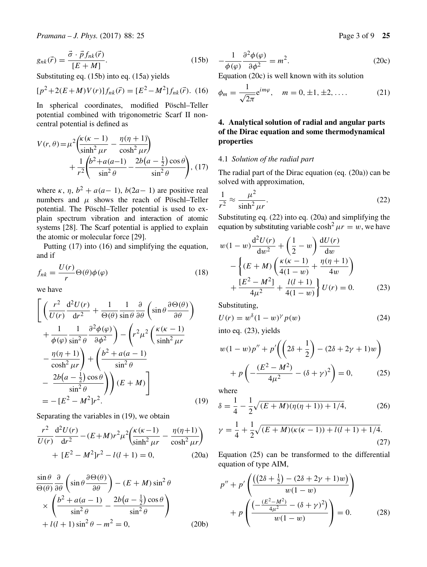Substituting eq. (15b) into eq. (15a) yields

$$
[p^{2} + 2(E+M)V(r)]f_{nk}(\vec{r}) = [E^{2} - M^{2}]f_{nk}(\vec{r}).
$$
 (16)

In spherical coordinates, modified Pöschl–Teller potential combined with trigonometric Scarf II noncentral potential is defined as

$$
V(r, \theta) = \mu^2 \left( \frac{\kappa (\kappa - 1)}{\sinh^2 \mu r} - \frac{\eta (\eta + 1)}{\cosh^2 \mu r} \right) + \frac{1}{r^2} \left( \frac{b^2 + a(a-1)}{\sin^2 \theta} - \frac{2b(a - \frac{1}{2})\cos \theta}{\sin^2 \theta} \right), (17)
$$

where  $\kappa$ ,  $\eta$ ,  $b^2 + a(a-1)$ ,  $b(2a-1)$  are positive real numbers and  $\mu$  shows the reach of Pöschl–Teller potential. The Pöschl–Teller potential is used to explain spectrum vibration and interaction of atomic systems [28]. The Scarf potential is applied to explain the atomic or molecular force [29].

Putting (17) into (16) and simplifying the equation, and if

$$
f_{nk} = \frac{U(r)}{r} \Theta(\theta) \phi(\varphi) \tag{18}
$$

we have

$$
\left[ \left( \frac{r^2}{U(r)} \frac{d^2 U(r)}{dr^2} + \frac{1}{\Theta(\theta)} \frac{1}{\sin \theta} \frac{\partial}{\partial \theta} \left( \sin \theta \frac{\partial \Theta(\theta)}{\partial \theta} \right) \right. \right.\left. + \frac{1}{\phi(\varphi)} \frac{1}{\sin^2 \theta} \frac{\partial^2 \phi(\varphi)}{\partial \phi^2} \right) - \left( r^2 \mu^2 \left( \frac{\kappa(\kappa - 1)}{\sinh^2 \mu r} \right. \right.\left. - \frac{\eta(\eta + 1)}{\cosh^2 \mu r} \right) + \left( \frac{b^2 + a(a - 1)}{\sin^2 \theta} \right.\left. - \frac{2b(a - \frac{1}{2}) \cos \theta}{\sin^2 \theta} \right) \left( E + M \right) \right]= - \left[ E^2 - M^2 \right] r^2. (19)
$$

Separating the variables in (19), we obtain

$$
\frac{r^2}{U(r)}\frac{d^2U(r)}{dr^2} - (E+M)r^2\mu^2 \left(\frac{\kappa(\kappa-1)}{\sinh^2\mu r} - \frac{\eta(\eta+1)}{\cosh^2\mu r}\right) + [E^2 - M^2]r^2 - l(l+1) = 0,
$$
 (20a)

$$
\frac{\sin \theta}{\Theta(\theta)} \frac{\partial}{\partial \theta} \left( \sin \theta \frac{\partial \Theta(\theta)}{\partial \theta} \right) - (E + M) \sin^2 \theta
$$
  
 
$$
\times \left( \frac{b^2 + a(a - 1)}{\sin^2 \theta} - \frac{2b(a - \frac{1}{2}) \cos \theta}{\sin^2 \theta} \right)
$$
  
 
$$
+ l(l + 1) \sin^2 \theta - m^2 = 0,
$$
 (20b)

$$
-\frac{1}{\phi(\varphi)}\frac{\partial^2 \phi(\varphi)}{\partial \phi^2} = m^2.
$$
 (20c)  
Equation (20c) is well known with its solution

$$
\phi_m = \frac{1}{\sqrt{2\pi}} e^{im\varphi}, \quad m = 0, \pm 1, \pm 2, \dots
$$
 (21)

# **4. Analytical solution of radial and angular parts of the Dirac equation and some thermodynamical properties**

#### 4.1 *Solution of the radial part*

The radial part of the Dirac equation (eq. (20a)) can be solved with approximation,

$$
\frac{1}{r^2} \approx \frac{\mu^2}{\sinh^2 \mu r}.
$$
\nSubstituting eq. (22) into eq. (20a) and simplifying the

equation by substituting variable  $\cosh^2 \mu r = w$ , we have

$$
w(1-w)\frac{d^2U(r)}{dw^2} + \left(\frac{1}{2} - w\right)\frac{dU(r)}{dw} - \left\{(E+M)\left(\frac{\kappa(\kappa-1)}{4(1-w)} + \frac{\eta(\eta+1)}{4w}\right) + \frac{[E^2 - M^2]}{4\mu^2} + \frac{l(l+1)}{4(1-w)}\right\}U(r) = 0.
$$
 (23)

Substituting,

$$
U(r) = w^{\delta} (1 - w)^{\gamma} p(w)
$$
 (24)

into eq. (23), yields

$$
w(1 - w)p'' + p'\left(\left(2\delta + \frac{1}{2}\right) - (2\delta + 2\gamma + 1)w\right) + p\left(-\frac{(E^2 - M^2)}{4\mu^2} - (\delta + \gamma)^2\right) = 0, \tag{25}
$$

where

$$
\delta = \frac{1}{4} - \frac{1}{2}\sqrt{(E+M)(\eta(\eta+1)) + 1/4},\tag{26}
$$

$$
\gamma = \frac{1}{4} + \frac{1}{2}\sqrt{(E+M)(\kappa(\kappa-1)) + l(l+1) + 1/4}.
$$
\n(27)

Equation (25) can be transformed to the differential equation of type AIM,

$$
p'' + p' \left( \frac{((2\delta + \frac{1}{2}) - (2\delta + 2\gamma + 1)w)}{w(1 - w)} \right) + p \left( \frac{(-\frac{(E^2 - M^2)}{4\mu^2} - (\delta + \gamma)^2)}{w(1 - w)} \right) = 0.
$$
 (28)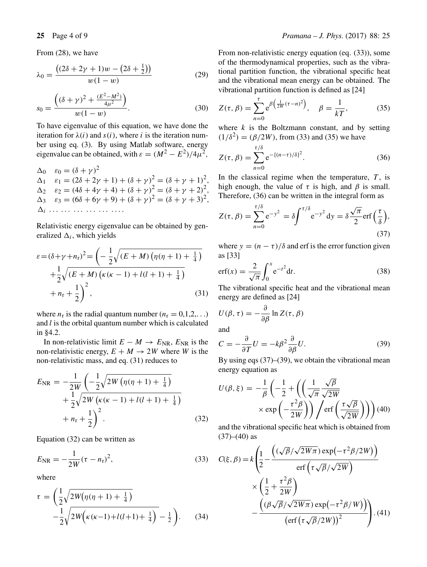From (28), we have

$$
\lambda_0 = \frac{((2\delta + 2\gamma + 1)w - (2\delta + \frac{1}{2}))}{w(1 - w)}
$$
(29)

$$
s_0 = \frac{((\delta + \gamma)^2 + \frac{(E^2 - M^2)}{4\mu^2})}{w(1 - w)}.
$$
\n(30)

To have eigenvalue of this equation, we have done the iteration for  $\lambda(i)$  and  $s(i)$ , where *i* is the iteration number using eq. (3). By using Matlab software, energy eigenvalue can be obtained, with  $\varepsilon = (M^2 - E^2)/4\mu^2$ ,

 $Δ<sub>0</sub>$   $ε<sub>0</sub> = (δ + γ)<sup>2</sup>$  $Δ_1$   $ε_1 = (2δ + 2γ + 1) + (δ + γ)<sup>2</sup> = (δ + γ + 1)<sup>2</sup>$ <br>  $Δ_2$   $ε_2 = (Δδ + Δγ + Δ) + (δ + γ)<sup>2</sup> = (δ + γ + 2) <sup>2</sup>$  $\Delta_2$  *ε*<sub>2</sub> = (4*δ* + 4*γ* + 4) + (*δ* + *γ*)<sup>2</sup> = (*δ* + *γ* + 2)<sup>2</sup>,<br>  $\Delta_3$  *ε*<sub>2</sub> = (*6δ* + 6*γ* + 0) + (*δ* + *γ*)<sup>2</sup> = (*δ* + *γ* + 3)<sup>2</sup>  $\Delta_3$  *ε*<sub>3</sub> = (6*δ* + 6*γ* + 9) + (*δ* + *γ*)<sup>2</sup> = (*δ* + *γ* + 3)<sup>2</sup>, *, i ... ... ... ... ... ....*

Relativistic energy eigenvalue can be obtained by generalized  $\Delta_i$ , which yields

$$
\varepsilon = (\delta + \gamma + n_{r})^{2} = \left( -\frac{1}{2} \sqrt{(E + M) \left( \eta (\eta + 1) + \frac{1}{4} \right)} + \frac{1}{2} \sqrt{(E + M) \left( \kappa (\kappa - 1) + l(l+1) + \frac{1}{4} \right)} + n_{r} + \frac{1}{2} \right)^{2},
$$
\n(31)

where  $n_r$  is the radial quantum number ( $n_r = 0,1,2,...$ ) and *l* is the orbital quantum number which is calculated in §4.2.

In non-relativistic limit  $E - M \rightarrow E_{NR}$ ,  $E_{NR}$  is the non-relativistic energy,  $E + M \rightarrow 2W$  where *W* is the non-relativistic mass, and eq. (31) reduces to

$$
E_{\rm NR} = -\frac{1}{2W} \left( -\frac{1}{2} \sqrt{2W \left( \eta (\eta + 1) + \frac{1}{4} \right)} + \frac{1}{2} \sqrt{2W \left( \kappa (\kappa - 1) + l(l+1) + \frac{1}{4} \right)} + n_{\rm r} + \frac{1}{2} \right)^2.
$$
 (32)

Equation (32) can be written as

$$
E_{\rm NR} = -\frac{1}{2W}(\tau - n_{\rm r})^2,
$$
\n(33)

where

$$
\tau = \left(\frac{1}{2}\sqrt{2W(\eta(\eta+1)+\frac{1}{4})} - \frac{1}{2}\sqrt{2W\left(\kappa(\kappa-1)+l(l+1)+\frac{1}{4}\right)} - \frac{1}{2}\right).
$$
 (34)

From non-relativistic energy equation (eq. (33)), some of the thermodynamical properties, such as the vibrational partition function, the vibrational specific heat and the vibrational mean energy can be obtained. The vibrational partition function is defined as [24]

$$
Z(\tau, \beta) = \sum_{n=0}^{\tau} e^{\beta \left(\frac{1}{2W}(\tau - n)^2\right)}, \quad \beta = \frac{1}{kT},
$$
 (35)

where *k* is the Boltzmann constant, and by setting  $(1/\lambda^2) - (B/2W)$  from (33) and (35) we have  $(1/\delta^2) = (\beta/2W)$ , from (33) and (35) we have

$$
Z(\tau, \beta) = \sum_{n=0}^{\tau/\delta} e^{-\{(n-\tau)/\delta\}^{2}}.
$$
 (36)

In the classical regime when the temperature,  $T$ , is high enough the value of  $\tau$  is high and  $\beta$  is small high enough, the value of  $\tau$  is high, and  $\beta$  is small. Therefore, (36) can be written in the integral form as

$$
Z(\tau,\beta) = \sum_{n=0}^{\tau/\delta} e^{-y^2} = \delta \int^{\tau/\delta} e^{-y^2} dy = \delta \frac{\sqrt{\pi}}{2} erf\left(\frac{\tau}{\delta}\right),\tag{37}
$$

where  $y = (n - \tau)/\delta$  and erf is the error function given as [33]

$$
\operatorname{erf}(x) = \frac{2}{\sqrt{\pi}} \int_0^x e^{-t^2} dt.
$$
 (38)

*π* The vibrational specific heat and the vibrational mean energy are defined as [24]

$$
U(\beta, \tau) = -\frac{\partial}{\partial \beta} \ln Z(\tau, \beta)
$$
  
and

$$
C = -\frac{\partial}{\partial T}U = -k\beta^2 \frac{\partial}{\partial \beta}U.
$$
 (39)

By using eqs (37)–(39), we obtain the vibrational mean energy equation as

$$
U(\beta, \xi) = -\frac{1}{\beta} \left( -\frac{1}{2} + \left( \left( \frac{1}{\sqrt{\pi}} \frac{\sqrt{\beta}}{\sqrt{2W}} + \exp\left( -\frac{\tau^2 \beta}{2W} \right) \right) \right) \text{erf}\left( \frac{\tau \sqrt{\beta}}{\sqrt{2W}} \right) \right) \text{ and the vibrational specific heat which is obtained from}
$$

 $(37)–(40)$  as

$$
C(\xi, \beta) = k \left( \frac{1}{2} - \frac{\left( (\sqrt{\beta}/\sqrt{2W\pi}) \exp(-\tau^2 \beta / 2W) \right)}{\text{erf} \left( \tau \sqrt{\beta}/\sqrt{2W} \right)} \times \left( \frac{1}{2} + \frac{\tau^2 \beta}{2W} \right) - \frac{\left( (\beta \sqrt{\beta}/\sqrt{2W\pi}) \exp(-\tau^2 \beta / W) \right)}{\left( \text{erf} \left( \tau \sqrt{\beta}/2W \right) \right)^2} \right). (41)
$$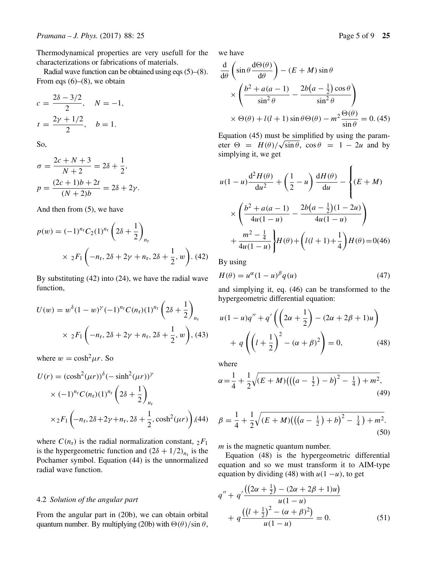Thermodynamical properties are very usefull for the characterizations or fabrications of materials.

Radial wave function can be obtained using eqs (5)–(8). From eqs  $(6)$ – $(8)$ , we obtain

$$
c = \frac{2\delta - 3/2}{2}, \quad N = -1,
$$
  

$$
t = \frac{2\gamma + 1/2}{2}, \quad b = 1.
$$

So,

$$
\sigma = \frac{2c + N + 3}{N + 2} = 2\delta + \frac{1}{2},
$$
  

$$
p = \frac{(2c + 1)b + 2t}{(N + 2)b} = 2\delta + 2\gamma.
$$

And then from (5), we have

$$
p(w) = (-1)^{n_{\rm r}} C_2 (1)^{n_{\rm r}} \left(2\delta + \frac{1}{2}\right)_{n_{\rm r}}
$$
  
 
$$
\times 2F_1 \left(-n_{\rm r}, 2\delta + 2\gamma + n_{\rm r}, 2\delta + \frac{1}{2}, w\right). (42)
$$

By substituting (42) into (24), we have the radial wave function,

$$
U(w) = w^{\delta} (1 - w)^{\gamma} (-1)^{n_{\rm r}} C(n_{\rm r}) (1)^{n_{\rm r}} \left( 2\delta + \frac{1}{2} \right)_{n_{\rm r}}
$$
  
 
$$
\times 2 F_1 \left( -n_{\rm r}, 2\delta + 2\gamma + n_{\rm r}, 2\delta + \frac{1}{2}, w \right), (43)
$$

where  $w = \cosh^2 \mu r$ . So

$$
U(r) = (\cosh^2(\mu r))^{\delta} (-\sinh^2(\mu r))^{\gamma}
$$
  
 
$$
\times (-1)^{n_r} C(n_r) (1)^{n_r} \left(2\delta + \frac{1}{2}\right)_{n_r}
$$
  
 
$$
\times {}_2F_1 \left(-n_r, 2\delta + 2\gamma + n_r, 2\delta + \frac{1}{2}, \cosh^2(\mu r)\right), (44)
$$

where  $C(n_r)$  is the radial normalization constant,  ${}_2F_1$ is the hypergeometric function and  $(2\delta + 1/2)_{n_r}$  is the Pochamer symbol. Equation (44) is the unnormalized radial wave function.

#### 4.2 *Solution of the angular part*

From the angular part in (20b), we can obtain orbital quantum number. By multiplying (20b) with  $\Theta(\theta)/\sin \theta$ , we have

$$
\frac{d}{d\theta} \left( \sin \theta \frac{d\Theta(\theta)}{d\theta} \right) - (E + M) \sin \theta
$$
  
 
$$
\times \left( \frac{b^2 + a(a - 1)}{\sin^2 \theta} - \frac{2b(a - \frac{1}{2}) \cos \theta}{\sin^2 \theta} \right)
$$
  
 
$$
\times \Theta(\theta) + l(l + 1) \sin \theta \Theta(\theta) - m^2 \frac{\Theta(\theta)}{\sin \theta} = 0. (45)
$$
  
Equation (45) must be simplified by using the param-

eter  $\Theta = H(\theta)/\sqrt{\sin \theta}$ ,  $\cos \theta = 1 - 2u$  and by simplying it, we get

$$
u(1-u)\frac{d^2H(\theta)}{du^2} + \left(\frac{1}{2} - u\right)\frac{dH(\theta)}{du} - \left\{(E+M) \times \left(\frac{b^2 + a(a-1)}{4u(1-u)} - \frac{2b(a-\frac{1}{2})(1-2u)}{4u(1-u)}\right) + \frac{m^2 - \frac{1}{4}}{4u(1-u)}\right\}H(\theta) + \left(l(l+1) + \frac{1}{4}\right)H(\theta) = 0(46)
$$

By using

$$
H(\theta) = u^{\alpha} (1 - u)^{\beta} q(u) \tag{47}
$$

and simplying it, eq. (46) can be transformed to the hypergeometric differential equation:

$$
u(1-u)q'' + q'\left(\left(2\alpha + \frac{1}{2}\right) - (2\alpha + 2\beta + 1)u\right) + q\left(\left(l + \frac{1}{2}\right)^2 - (\alpha + \beta)^2\right) = 0,
$$
 (48)

where

$$
\alpha = \frac{1}{4} + \frac{1}{2}\sqrt{(E+M)\left(\left((a-\frac{1}{2})-b\right)^2 - \frac{1}{4}\right) + m^2},\tag{49}
$$

$$
\beta = \frac{1}{4} + \frac{1}{2}\sqrt{(E+M)\left(\left((a-\frac{1}{2})+b\right)^2 - \frac{1}{4}\right) + m^2}.
$$
\n(50)

*m* is the magnetic quantum number.

Equation (48) is the hypergeometric differential equation and so we must transform it to AIM-type equation by dividing (48) with  $u(1 - u)$ , to get

$$
q'' + q' \frac{((2\alpha + \frac{1}{2}) - (2\alpha + 2\beta + 1)u)}{u(1 - u)}
$$
  
+ 
$$
q \frac{((l + \frac{1}{2})^2 - (\alpha + \beta)^2)}{u(1 - u)} = 0.
$$
 (51)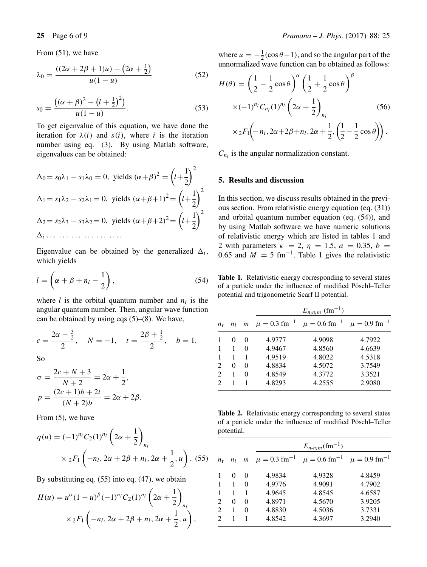From (51), we have

$$
\lambda_0 = \frac{((2\alpha + 2\beta + 1)u) - (2\alpha + \frac{1}{2})}{u(1 - u)}
$$
(52)

$$
s_0 = \frac{((\alpha + \beta)^2 - (l + \frac{1}{2})^2)}{u(1 - u)}.
$$
\n(53)

To get eigenvalue of this equation, we have done the iteration for  $\lambda(i)$  and  $s(i)$ , where *i* is the iteration number using eq. (3). By using Matlab software, eigenvalues can be obtained:

$$
\Delta_0 = s_0 \lambda_1 - s_1 \lambda_0 = 0, \text{ yields } (\alpha + \beta)^2 = \left(l + \frac{1}{2}\right)^2
$$
  

$$
\Delta_1 = s_1 \lambda_2 - s_2 \lambda_1 = 0, \text{ yields } (\alpha + \beta + 1)^2 = \left(l + \frac{1}{2}\right)^2
$$
  

$$
\Delta_2 = s_2 \lambda_3 - s_3 \lambda_2 = 0, \text{ yields } (\alpha + \beta + 2)^2 = \left(l + \frac{1}{2}\right)^2
$$
  

$$
\Delta_i \dots \dots \dots \dots \dots \dots \dots
$$

Eigenvalue can be obtained by the generalized  $\Delta_i$ , which yields

$$
l = \left(\alpha + \beta + n_l - \frac{1}{2}\right),\tag{54}
$$

where *l* is the orbital quantum number and  $n_l$  is the angular quantum number. Then, angular wave function can be obtained by using eqs (5)–(8). We have,

$$
c = \frac{2\alpha - \frac{3}{2}}{2}
$$
,  $N = -1$ ,  $t = \frac{2\beta + \frac{1}{2}}{2}$ ,  $b = 1$ .

So

$$
\sigma = \frac{2c + N + 3}{N + 2} = 2\alpha + \frac{1}{2},
$$
  

$$
p = \frac{(2c + 1)b + 2t}{(N + 2)b} = 2\alpha + 2\beta.
$$

From (5), we have

$$
q(u) = (-1)^{n_l} C_2(1)^{n_l} \left(2\alpha + \frac{1}{2}\right)_{n_l}
$$
  
 
$$
\times {}_2F_1 \left(-n_l, 2\alpha + 2\beta + n_l, 2\alpha + \frac{1}{2}, u\right). (55)
$$

By substituting eq. (55) into eq. (47), we obtain

$$
H(u) = u^{\alpha} (1 - u)^{\beta} (-1)^{n_l} C_2(1)^{n_l} \left(2\alpha + \frac{1}{2}\right)_{n_l}
$$
  
 
$$
\times {}_2F_1 \left(-n_l, 2\alpha + 2\beta + n_l, 2\alpha + \frac{1}{2}, u\right),
$$

where  $u = -\frac{1}{2}(\cos \theta - 1)$ , and so the angular part of the<br>unnormalized wave function can be obtained as follows: unnormalized wave function can be obtained as follows:

$$
H(\theta) = \left(\frac{1}{2} - \frac{1}{2}\cos\theta\right)^{\alpha} \left(\frac{1}{2} + \frac{1}{2}\cos\theta\right)^{\beta}
$$
  
 
$$
\times (-1)^{n_l} C_{n_l}(1)^{n_l} \left(2\alpha + \frac{1}{2}\right)_{n_l}
$$
  
 
$$
\times {}_2F_1\left(-n_l, 2\alpha + 2\beta + n_l, 2\alpha + \frac{1}{2}, \left(\frac{1}{2} - \frac{1}{2}\cos\theta\right)\right).
$$
 (56)

 $C_{n_l}$  is the angular normalization constant.

## **5. Results and discussion**

In this section, we discuss results obtained in the previous section. From relativistic energy equation (eq. (31)) and orbital quantum number equation (eq. (54)), and by using Matlab software we have numeric solutions of relativistic energy which are listed in tables 1 and 2 with parameters  $κ = 2, η = 1.5, a = 0.35, b = 1$ 0.65 and  $M = 5$  fm<sup>-1</sup>. Table 1 gives the relativistic

**Table 1.** Relativistic energy corresponding to several states of a particle under the influence of modified Pöschl–Teller potential and trigonometric Scarf II potential.

|             |                |              |        | $E_{n_r n_l m}$ (fm <sup>-1</sup> )                                                      |        |
|-------------|----------------|--------------|--------|------------------------------------------------------------------------------------------|--------|
| $n_{\rm r}$ | n <sub>I</sub> |              |        | m $\mu = 0.3$ fm <sup>-1</sup> $\mu = 0.6$ fm <sup>-1</sup> $\mu = 0.9$ fm <sup>-1</sup> |        |
|             | $\Omega$       | $\Omega$     | 4.9777 | 4.9098                                                                                   | 4.7922 |
|             | 1              | $\Omega$     | 4.9467 | 4.8560                                                                                   | 4.6639 |
|             | 1              |              | 4.9519 | 4.8022                                                                                   | 4.5318 |
|             | 0              | 0            | 4.8834 | 4.5072                                                                                   | 3.7549 |
|             | 1              | $\mathbf{0}$ | 4.8549 | 4.3772                                                                                   | 3.3521 |
|             |                |              | 4.8293 | 4.2555                                                                                   | 2.9080 |

**Table 2.** Relativistic energy corresponding to several states of a particle under the influence of modified Pöschl–Teller potential.

|                             |                |          | $E_{n_{\rm r}n_{\rm I}m}$ (fm <sup>-1</sup> ) |                                                                                          |        |  |  |
|-----------------------------|----------------|----------|-----------------------------------------------|------------------------------------------------------------------------------------------|--------|--|--|
| $n_{\rm r}$                 | n <sub>I</sub> |          |                                               | m $\mu = 0.3$ fm <sup>-1</sup> $\mu = 0.6$ fm <sup>-1</sup> $\mu = 0.9$ fm <sup>-1</sup> |        |  |  |
|                             | $\Omega$       | $\Omega$ | 4.9834                                        | 4.9328                                                                                   | 4.8459 |  |  |
|                             | 1              | 0        | 4.9776                                        | 4.9091                                                                                   | 4.7902 |  |  |
|                             | 1              |          | 4.9645                                        | 4.8545                                                                                   | 4.6587 |  |  |
| $\mathfrak{D}$              | 0              | $\Omega$ | 4.8971                                        | 4.5670                                                                                   | 3.9205 |  |  |
| $\mathfrak{D}$              |                | 0        | 4.8830                                        | 4.5036                                                                                   | 3.7331 |  |  |
| $\mathcal{D}_{\mathcal{L}}$ |                |          | 4.8542                                        | 4.3697                                                                                   | 3.2940 |  |  |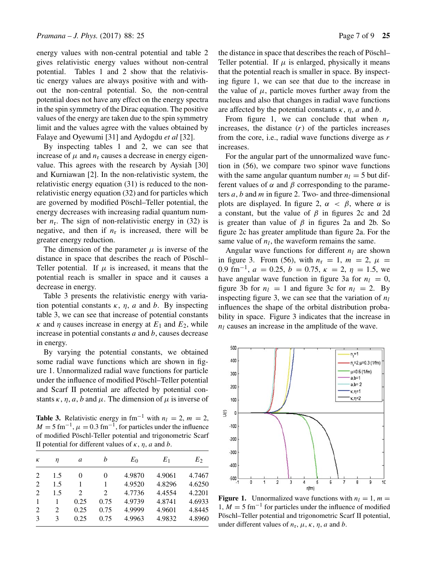energy values with non-central potential and table 2 gives relativistic energy values without non-central potential. Tables 1 and 2 show that the relativistic energy values are always positive with and without the non-central potential. So, the non-central potential does not have any effect on the energy spectra in the spin symmetry of the Dirac equation. The positive values of the energy are taken due to the spin symmetry limit and the values agree with the values obtained by Falaye and Oyewumi [31] and Aydogdu *et al* [32].

By inspecting tables 1 and 2, we can see that increase of  $\mu$  and  $n_r$  causes a decrease in energy eigenvalue. This agrees with the research by Aysiah [30] and Kurniawan [2]. In the non-relativistic system, the relativistic energy equation (31) is reduced to the nonrelativistic energy equation (32) and for particles which are governed by modified Pöschl–Teller potential, the energy decreases with increasing radial quantum number  $n_r$ . The sign of non-relativistic energy in (32) is negative, and then if  $n_r$  is increased, there will be greater energy reduction.

The dimension of the parameter  $\mu$  is inverse of the distance in space that describes the reach of Pöschl– Teller potential. If  $\mu$  is increased, it means that the potential reach is smaller in space and it causes a decrease in energy.

Table 3 presents the relativistic energy with variation potential constants  $\kappa$ ,  $\eta$ ,  $\alpha$  and  $\beta$ . By inspecting table 3, we can see that increase of potential constants *κ* and *η* causes increase in energy at  $E_1$  and  $E_2$ , while increase in potential constants *a* and *b*, causes decrease in energy.

By varying the potential constants, we obtained some radial wave functions which are shown in figure 1. Unnormalized radial wave functions for particle under the influence of modified Pöschl–Teller potential and Scarf II potential are affected by potential constants  $\kappa$ ,  $\eta$ ,  $\alpha$ ,  $\beta$  and  $\mu$ . The dimension of  $\mu$  is inverse of

**Table 3.** Relativistic energy in fm<sup>-1</sup> with  $n_l = 2$ ,  $m = 2$ ,  $M = 5$  fm<sup>-1</sup>,  $\mu = 0.3$  fm<sup>-1</sup>, for particles under the influence of modified Pöschl-Teller potential and trigonometric Scarf II potential for different values of *κ*, *η*, *a* and *b*.

| К | η   | a              | h    | $E_0$  | $E_1$  | E2     |
|---|-----|----------------|------|--------|--------|--------|
| 2 | 1.5 | 0              | 0    | 4.9870 | 4.9061 | 4.7467 |
| 2 | 1.5 |                | 1    | 4.9520 | 4.8296 | 4.6250 |
| 2 | 1.5 | $\mathfrak{D}$ | 2    | 4.7736 | 4.4554 | 4.2201 |
| 1 |     | 0.25           | 0.75 | 4.9739 | 4.8741 | 4.6933 |
| 2 | 2   | 0.25           | 0.75 | 4.9999 | 4.9601 | 4.8445 |
| 3 | 3   | 0.25           | 0.75 | 4.9963 | 4.9832 | 4.8960 |

the distance in space that describes the reach of Pöschl– Teller potential. If  $\mu$  is enlarged, physically it means that the potential reach is smaller in space. By inspecting figure 1, we can see that due to the increase in the value of  $\mu$ , particle moves further away from the nucleus and also that changes in radial wave functions are affected by the potential constants  $\kappa$ ,  $\eta$ ,  $a$  and  $b$ .

From figure 1, we can conclude that when  $n_r$ increases, the distance  $(r)$  of the particles increases from the core, i.e., radial wave functions diverge as *r* increases.

For the angular part of the unnormalized wave function in (56), we compare two spinor wave functions with the same angular quantum number  $n_l = 5$  but different values of  $\alpha$  and  $\beta$  corresponding to the parameters *a*, *b* and *m* in figure 2. Two- and three-dimensional plots are displayed. In figure 2,  $\alpha < \beta$ , where  $\alpha$  is a constant, but the value of *β* in figures 2c and 2d is greater than value of  $\beta$  in figures 2a and 2b. So figure 2c has greater amplitude than figure 2a. For the same value of  $n_l$ , the waveform remains the same.

Angular wave functions for different  $n_l$  are shown in figure 3. From (56), with  $n_r = 1$ ,  $m = 2$ ,  $\mu =$ 0.9 fm<sup>-1</sup>,  $a = 0.25$ ,  $b = 0.75$ ,  $\kappa = 2$ ,  $\eta = 1.5$ , we have angular wave function in figure 3a for  $n_l = 0$ , figure 3b for  $n_l = 1$  and figure 3c for  $n_l = 2$ . By inspecting figure 3, we can see that the variation of  $n_l$ influences the shape of the orbital distribution probability in space. Figure 3 indicates that the increase in  $n_l$  causes an increase in the amplitude of the wave.



**Figure 1.** Unnormalized wave functions with  $n_l = 1$ ,  $m =$  $1, M = 5$  fm<sup>-1</sup> for particles under the influence of modified Pöschl–Teller potential and trigonometric Scarf II potential, under different values of  $n_r$ ,  $\mu$ ,  $\kappa$ ,  $\eta$ ,  $a$  and  $b$ .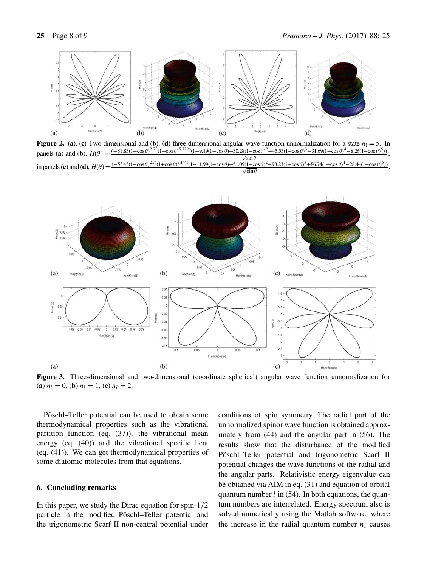

**Figure 2.** (a), (c) Two-dimensional and (b), (d) three-dimensional angular wave function unnormalization for a state  $n_1 = 5$ . In  $\mu_{\text{max}}(c)$  and  $\mu_{\text{max}}(c) = 81.83(1-\cos\theta)^{2.75}(1+\cos\theta)^{5.7796}(1-9.19(1-\cos\theta)+30.28(1-\cos\theta)^2$ panels (a) and (b),  $H(\theta) = \frac{(-81.83(1-\cos\theta)^{2.75}(1+\cos\theta)^{5.7796}(1-9.19(1-\cos\theta)+30.28(1-\cos\theta)^2-45.53(1-\cos\theta)^3+31.69(1-\cos\theta)^4-8.26(1-\cos\theta)^5)}{\sqrt{\sin\theta}}$  $\frac{\delta(1-\cos\theta)^2-43.33(1-\cos\theta)^3+31.09(1-\cos\theta)^3-8.20(1-\cos\theta)^3)}{\sqrt{\sin\theta}};$ <br>  $\sqrt{\sin\theta}$ <br>  $\frac{\delta(1-\cos\theta)^2-98.23(1-\cos\theta)^3+86.74(1-\cos\theta)^4-28.44(1-\cos\theta)^5)}{1-\cos\theta}$ in panels (c) and (d),  $H(\theta) = \frac{(-53.43(1-\cos\theta)^{2.75}(1+\cos\theta)^{9.1445}(1-11.99(1-\cos\theta)+51.05(1-\cos\theta)^2-98.23(1-\cos\theta)^3+86.74(1-\cos\theta)^4-28.44(1-\cos\theta)^5)}{\sqrt{\sin\theta}}$ .



**Figure 3.** Three-dimensional and two-dimensional (coordinate spherical) angular wave function unnormalization for (**a**)  $n_l = 0$ , (**b**)  $n_l = 1$ , (**c**)  $n_l = 2$ .

Pöschl–Teller potential can be used to obtain some thermodynamical properties such as the vibrational partition function (eq. (37)), the vibrational mean energy (eq. (40)) and the vibrational specific heat (eq. (41)). We can get thermodynamical properties of some diatomic molecules from that equations.

#### **6. Concluding remarks**

In this paper, we study the Dirac equation for spin-1*/*<sup>2</sup> particle in the modified Pöschl–Teller potential and the trigonometric Scarf II non-central potential under conditions of spin symmetry. The radial part of the unnormalized spinor wave function is obtained approximately from (44) and the angular part in (56). The results show that the disturbance of the modified Pöschl–Teller potential and trigonometric Scarf II potential changes the wave functions of the radial and the angular parts. Relativistic energy eigenvalue can be obtained via AIM in eq. (31) and equation of orbital quantum number *l* in (54). In both equations, the quantum numbers are interrelated. Energy spectrum also is solved numerically using the Matlab software, where the increase in the radial quantum number  $n_r$  causes